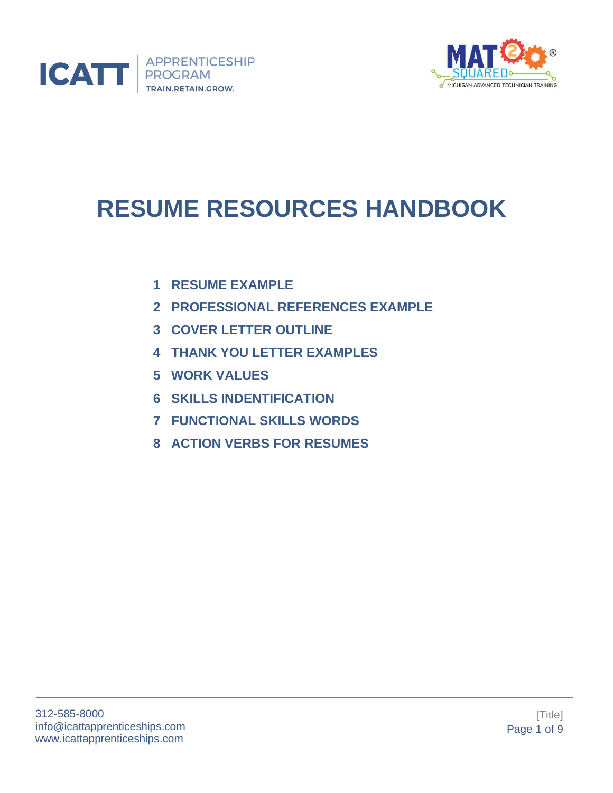



# **RESUME RESOURCES HANDBOOK**

- **1 RESUME EXAMPLE**
- **2 PROFESSIONAL REFERENCES EXAMPLE**
- **3 COVER LETTER OUTLINE**
- **4 THANK YOU LETTER EXAMPLES**
- **5 WORK VALUES**
- **6 SKILLS INDENTIFICATION**
- **7 FUNCTIONAL SKILLS WORDS**
- **8 ACTION VERBS FOR RESUMES**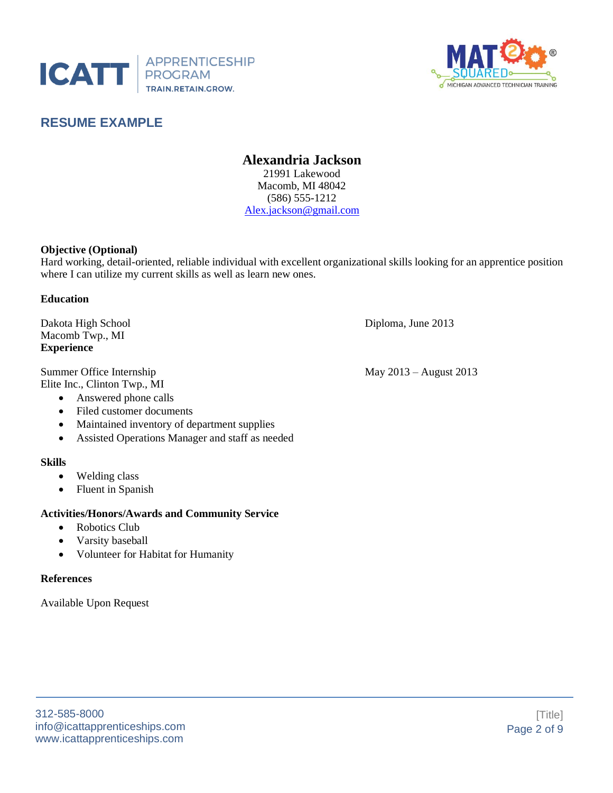



## **RESUME EXAMPLE**

#### **Alexandria Jackson** 21991 Lakewood Macomb, MI 48042 (586) 555-1212 [Alex.jackson@gmail.com](mailto:Alex.jackson@gmail.com)

#### **Objective (Optional)**

Hard working, detail-oriented, reliable individual with excellent organizational skills looking for an apprentice position where I can utilize my current skills as well as learn new ones.

#### **Education**

Dakota High School Diploma, June 2013 Macomb Twp., MI **Experience**

Summer Office Internship May 2013 – August 2013 Elite Inc., Clinton Twp., MI

- Answered phone calls
- Filed customer documents
- Maintained inventory of department supplies
- Assisted Operations Manager and staff as needed

#### **Skills**

- Welding class
- Fluent in Spanish

#### **Activities/Honors/Awards and Community Service**

- Robotics Club
- Varsity baseball
- Volunteer for Habitat for Humanity

#### **References**

Available Upon Request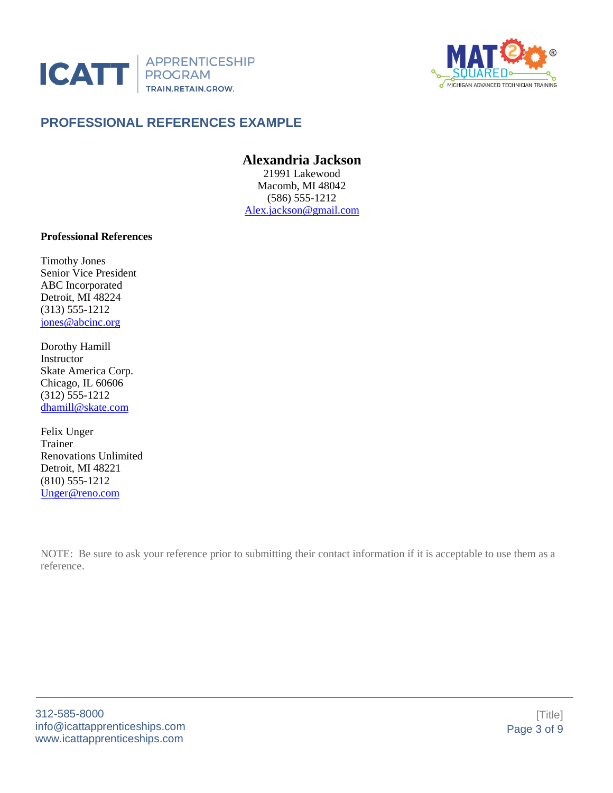



# **PROFESSIONAL REFERENCES EXAMPLE**

# **Alexandria Jackson**

21991 Lakewood Macomb, MI 48042 (586) 555-1212 [Alex.jackson@gmail.com](mailto:Alex.jackson@gmail.com)

#### **Professional References**

Timothy Jones Senior Vice President ABC Incorporated Detroit, MI 48224 (313) 555-1212 [jones@abcinc.org](mailto:jones@abcinc.org)

Dorothy Hamill Instructor Skate America Corp. Chicago, IL 60606 (312) 555-1212 [dhamill@skate.com](mailto:dhamill@skate.com)

Felix Unger Trainer Renovations Unlimited Detroit, MI 48221 (810) 555-1212 [Unger@reno.com](mailto:Unger@reno.com)

NOTE: Be sure to ask your reference prior to submitting their contact information if it is acceptable to use them as a reference.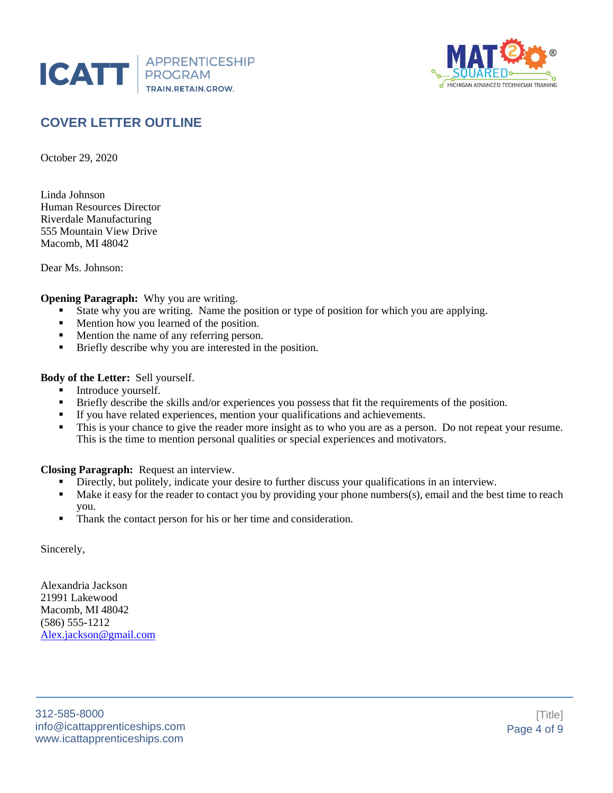



# **COVER LETTER OUTLINE**

October 29, 2020

Linda Johnson Human Resources Director Riverdale Manufacturing 555 Mountain View Drive Macomb, MI 48042

Dear Ms. Johnson:

#### **Opening Paragraph:** Why you are writing.

- State why you are writing. Name the position or type of position for which you are applying.
- Mention how you learned of the position.
- Mention the name of any referring person.
- Briefly describe why you are interested in the position.

#### **Body of the Letter:** Sell yourself.

- **•** Introduce yourself.
- **•** Briefly describe the skills and/or experiences you possess that fit the requirements of the position.
- If you have related experiences, mention your qualifications and achievements.
- This is your chance to give the reader more insight as to who you are as a person. Do not repeat your resume. This is the time to mention personal qualities or special experiences and motivators.

#### **Closing Paragraph:** Request an interview.

- **•** Directly, but politely, indicate your desire to further discuss your qualifications in an interview.
- Make it easy for the reader to contact you by providing your phone numbers(s), email and the best time to reach you.
- Thank the contact person for his or her time and consideration.

Sincerely,

Alexandria Jackson 21991 Lakewood Macomb, MI 48042 (586) 555-1212 [Alex.jackson@gmail.com](mailto:Alex.jackson@gmail.com)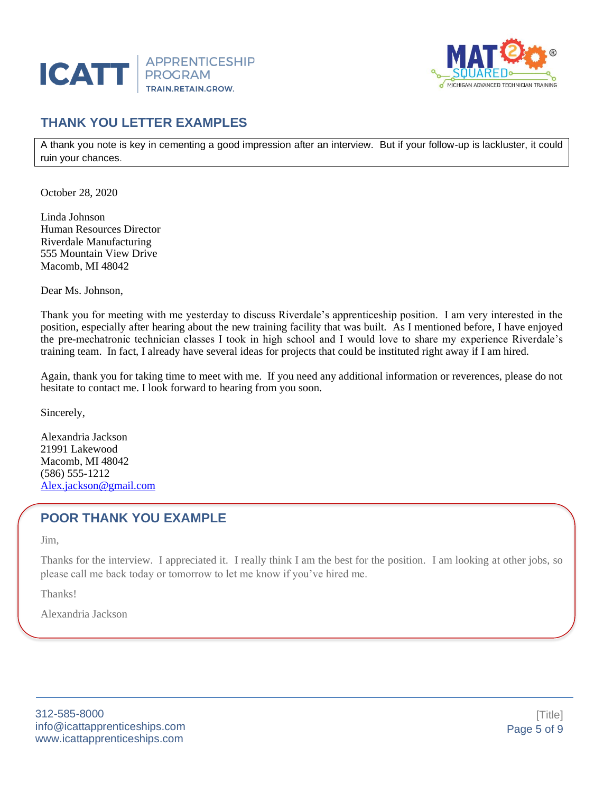



## **THANK YOU LETTER EXAMPLES**

A thank you note is key in cementing a good impression after an interview. But if your follow-up is lackluster, it could ruin your chances.

October 28, 2020

Linda Johnson Human Resources Director Riverdale Manufacturing 555 Mountain View Drive Macomb, MI 48042

Dear Ms. Johnson,

Thank you for meeting with me yesterday to discuss Riverdale's apprenticeship position. I am very interested in the position, especially after hearing about the new training facility that was built. As I mentioned before, I have enjoyed the pre-mechatronic technician classes I took in high school and I would love to share my experience Riverdale's training team. In fact, I already have several ideas for projects that could be instituted right away if I am hired.

Again, thank you for taking time to meet with me. If you need any additional information or reverences, please do not hesitate to contact me. I look forward to hearing from you soon.

Sincerely,

Alexandria Jackson 21991 Lakewood Macomb, MI 48042 (586) 555-1212 [Alex.jackson@gmail.com](mailto:Alex.jackson@gmail.com)

## **POOR THANK YOU EXAMPLE**

Jim,

Thanks for the interview. I appreciated it. I really think I am the best for the position. I am looking at other jobs, so please call me back today or tomorrow to let me know if you've hired me.

Thanks!

Alexandria Jackson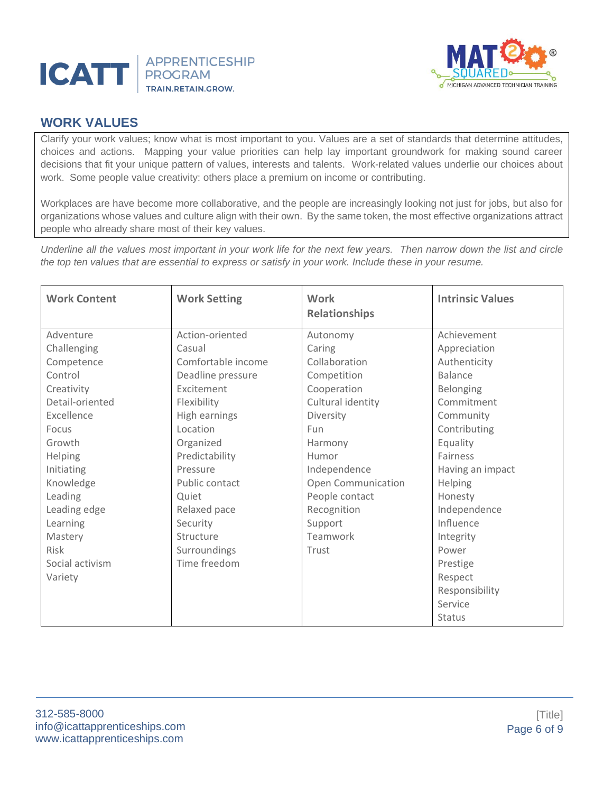



## **WORK VALUES**

Clarify your work values; know what is most important to you. Values are a set of standards that determine attitudes, choices and actions. Mapping your value priorities can help lay important groundwork for making sound career decisions that fit your unique pattern of values, interests and talents. Work-related values underlie our choices about work. Some people value creativity: others place a premium on income or contributing.

Workplaces are have become more collaborative, and the people are increasingly looking not just for jobs, but also for organizations whose values and culture align with their own. By the same token, the most effective organizations attract people who already share most of their key values.

*Underline all the values most important in your work life for the next few years. Then narrow down the list and circle the top ten values that are essential to express or satisfy in your work. Include these in your resume.*

| <b>Work Content</b>                       | <b>Work Setting</b>          | <b>Work</b><br><b>Relationships</b> | <b>Intrinsic Values</b>                                                    |  |
|-------------------------------------------|------------------------------|-------------------------------------|----------------------------------------------------------------------------|--|
| Adventure                                 | Action-oriented              | Autonomy                            | Achievement                                                                |  |
| Challenging                               | Casual                       | Caring                              | Appreciation                                                               |  |
| Competence                                | Comfortable income           | Collaboration                       | Authenticity                                                               |  |
| Control                                   | Deadline pressure            | Competition                         | <b>Balance</b>                                                             |  |
| Creativity                                | Excitement                   | Cooperation                         | Belonging                                                                  |  |
| Detail-oriented                           | Flexibility                  | Cultural identity                   | Commitment                                                                 |  |
| Excellence                                | High earnings                | Diversity                           | Community                                                                  |  |
| Focus                                     | Location                     | <b>Fun</b>                          | Contributing                                                               |  |
| Growth                                    | Organized                    | Harmony                             | Equality                                                                   |  |
| Helping                                   | Predictability               | Humor                               | Fairness                                                                   |  |
| Initiating                                | Pressure                     | Independence                        | Having an impact                                                           |  |
| Knowledge                                 | Public contact               | Open Communication                  | Helping                                                                    |  |
| Leading                                   | Quiet                        | People contact                      | Honesty                                                                    |  |
| Leading edge                              | Relaxed pace                 | Recognition                         | Independence                                                               |  |
| Learning                                  | Security                     | Support                             | Influence                                                                  |  |
| Mastery                                   | Structure                    | Teamwork                            | Integrity                                                                  |  |
| <b>Risk</b><br>Social activism<br>Variety | Surroundings<br>Time freedom | Trust                               | Power<br>Prestige<br>Respect<br>Responsibility<br>Service<br><b>Status</b> |  |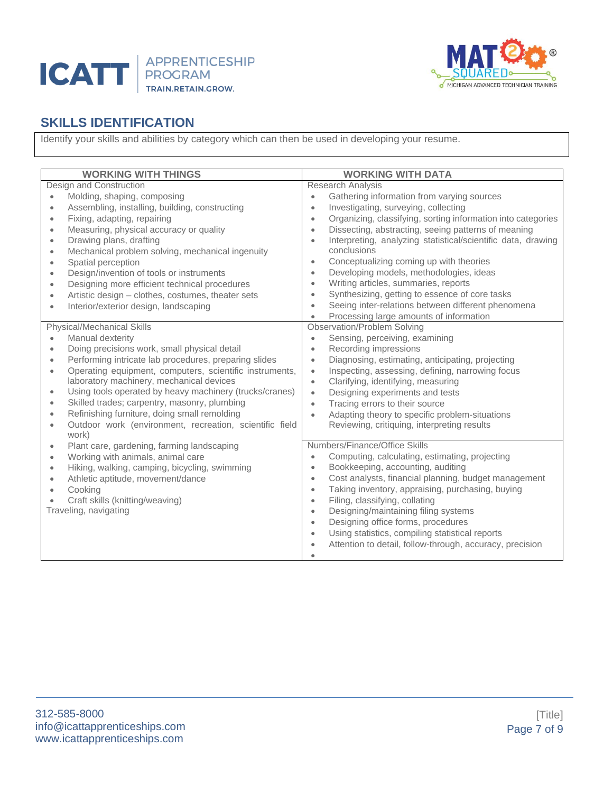



# **SKILLS IDENTIFICATION**

Identify your skills and abilities by category which can then be used in developing your resume.

| <b>WORKING WITH THINGS</b>                                                                                                                                                                                                                                                                                                                                                                                                                                                                                                                                                                | <b>WORKING WITH DATA</b>                                                                                                                                                                                                                                                                                                                                                                                                                                                                                                                                                                                                                                                                                                 |  |  |
|-------------------------------------------------------------------------------------------------------------------------------------------------------------------------------------------------------------------------------------------------------------------------------------------------------------------------------------------------------------------------------------------------------------------------------------------------------------------------------------------------------------------------------------------------------------------------------------------|--------------------------------------------------------------------------------------------------------------------------------------------------------------------------------------------------------------------------------------------------------------------------------------------------------------------------------------------------------------------------------------------------------------------------------------------------------------------------------------------------------------------------------------------------------------------------------------------------------------------------------------------------------------------------------------------------------------------------|--|--|
| Design and Construction                                                                                                                                                                                                                                                                                                                                                                                                                                                                                                                                                                   | <b>Research Analysis</b>                                                                                                                                                                                                                                                                                                                                                                                                                                                                                                                                                                                                                                                                                                 |  |  |
| Molding, shaping, composing<br>$\bullet$<br>Assembling, installing, building, constructing<br>$\bullet$<br>Fixing, adapting, repairing<br>$\bullet$<br>Measuring, physical accuracy or quality<br>$\bullet$<br>Drawing plans, drafting<br>$\bullet$<br>Mechanical problem solving, mechanical ingenuity<br>$\bullet$<br>Spatial perception<br>$\bullet$<br>Design/invention of tools or instruments<br>$\bullet$<br>Designing more efficient technical procedures<br>$\bullet$<br>Artistic design - clothes, costumes, theater sets<br>Interior/exterior design, landscaping<br>$\bullet$ | Gathering information from varying sources<br>$\bullet$<br>Investigating, surveying, collecting<br>$\bullet$<br>Organizing, classifying, sorting information into categories<br>$\bullet$<br>Dissecting, abstracting, seeing patterns of meaning<br>$\bullet$<br>Interpreting, analyzing statistical/scientific data, drawing<br>$\bullet$<br>conclusions<br>Conceptualizing coming up with theories<br>$\bullet$<br>Developing models, methodologies, ideas<br>$\bullet$<br>Writing articles, summaries, reports<br>$\bullet$<br>Synthesizing, getting to essence of core tasks<br>$\bullet$<br>Seeing inter-relations between different phenomena<br>$\bullet$<br>Processing large amounts of information<br>$\bullet$ |  |  |
| <b>Physical/Mechanical Skills</b><br>Manual dexterity                                                                                                                                                                                                                                                                                                                                                                                                                                                                                                                                     | <b>Observation/Problem Solving</b><br>Sensing, perceiving, examining<br>$\bullet$                                                                                                                                                                                                                                                                                                                                                                                                                                                                                                                                                                                                                                        |  |  |
| Doing precisions work, small physical detail<br>$\bullet$<br>Performing intricate lab procedures, preparing slides                                                                                                                                                                                                                                                                                                                                                                                                                                                                        | Recording impressions<br>$\bullet$<br>Diagnosing, estimating, anticipating, projecting                                                                                                                                                                                                                                                                                                                                                                                                                                                                                                                                                                                                                                   |  |  |
| $\bullet$<br>Operating equipment, computers, scientific instruments,<br>$\bullet$                                                                                                                                                                                                                                                                                                                                                                                                                                                                                                         | $\bullet$<br>Inspecting, assessing, defining, narrowing focus<br>$\bullet$                                                                                                                                                                                                                                                                                                                                                                                                                                                                                                                                                                                                                                               |  |  |
| laboratory machinery, mechanical devices                                                                                                                                                                                                                                                                                                                                                                                                                                                                                                                                                  | Clarifying, identifying, measuring<br>$\bullet$                                                                                                                                                                                                                                                                                                                                                                                                                                                                                                                                                                                                                                                                          |  |  |
| Using tools operated by heavy machinery (trucks/cranes)<br>$\bullet$                                                                                                                                                                                                                                                                                                                                                                                                                                                                                                                      | Designing experiments and tests<br>$\bullet$                                                                                                                                                                                                                                                                                                                                                                                                                                                                                                                                                                                                                                                                             |  |  |
| Skilled trades; carpentry, masonry, plumbing<br>Refinishing furniture, doing small remolding<br>$\bullet$                                                                                                                                                                                                                                                                                                                                                                                                                                                                                 | Tracing errors to their source<br>$\bullet$                                                                                                                                                                                                                                                                                                                                                                                                                                                                                                                                                                                                                                                                              |  |  |
| Outdoor work (environment, recreation, scientific field<br>$\bullet$<br>work)                                                                                                                                                                                                                                                                                                                                                                                                                                                                                                             | Adapting theory to specific problem-situations<br>$\bullet$<br>Reviewing, critiquing, interpreting results                                                                                                                                                                                                                                                                                                                                                                                                                                                                                                                                                                                                               |  |  |
| Plant care, gardening, farming landscaping<br>$\bullet$                                                                                                                                                                                                                                                                                                                                                                                                                                                                                                                                   | Numbers/Finance/Office Skills                                                                                                                                                                                                                                                                                                                                                                                                                                                                                                                                                                                                                                                                                            |  |  |
| Working with animals, animal care<br>$\bullet$                                                                                                                                                                                                                                                                                                                                                                                                                                                                                                                                            | Computing, calculating, estimating, projecting<br>$\bullet$                                                                                                                                                                                                                                                                                                                                                                                                                                                                                                                                                                                                                                                              |  |  |
| Hiking, walking, camping, bicycling, swimming<br>$\bullet$                                                                                                                                                                                                                                                                                                                                                                                                                                                                                                                                | Bookkeeping, accounting, auditing<br>$\bullet$                                                                                                                                                                                                                                                                                                                                                                                                                                                                                                                                                                                                                                                                           |  |  |
| Athletic aptitude, movement/dance<br>$\bullet$                                                                                                                                                                                                                                                                                                                                                                                                                                                                                                                                            | Cost analysts, financial planning, budget management<br>$\bullet$                                                                                                                                                                                                                                                                                                                                                                                                                                                                                                                                                                                                                                                        |  |  |
| Cooking<br>$\bullet$<br>Craft skills (knitting/weaving)                                                                                                                                                                                                                                                                                                                                                                                                                                                                                                                                   | Taking inventory, appraising, purchasing, buying<br>$\bullet$<br>Filing, classifying, collating<br>$\bullet$                                                                                                                                                                                                                                                                                                                                                                                                                                                                                                                                                                                                             |  |  |
| Traveling, navigating                                                                                                                                                                                                                                                                                                                                                                                                                                                                                                                                                                     | Designing/maintaining filing systems<br>$\bullet$                                                                                                                                                                                                                                                                                                                                                                                                                                                                                                                                                                                                                                                                        |  |  |
|                                                                                                                                                                                                                                                                                                                                                                                                                                                                                                                                                                                           | Designing office forms, procedures<br>$\bullet$                                                                                                                                                                                                                                                                                                                                                                                                                                                                                                                                                                                                                                                                          |  |  |
|                                                                                                                                                                                                                                                                                                                                                                                                                                                                                                                                                                                           | Using statistics, compiling statistical reports<br>$\bullet$                                                                                                                                                                                                                                                                                                                                                                                                                                                                                                                                                                                                                                                             |  |  |
|                                                                                                                                                                                                                                                                                                                                                                                                                                                                                                                                                                                           | Attention to detail, follow-through, accuracy, precision<br>$\bullet$                                                                                                                                                                                                                                                                                                                                                                                                                                                                                                                                                                                                                                                    |  |  |
|                                                                                                                                                                                                                                                                                                                                                                                                                                                                                                                                                                                           | $\bullet$                                                                                                                                                                                                                                                                                                                                                                                                                                                                                                                                                                                                                                                                                                                |  |  |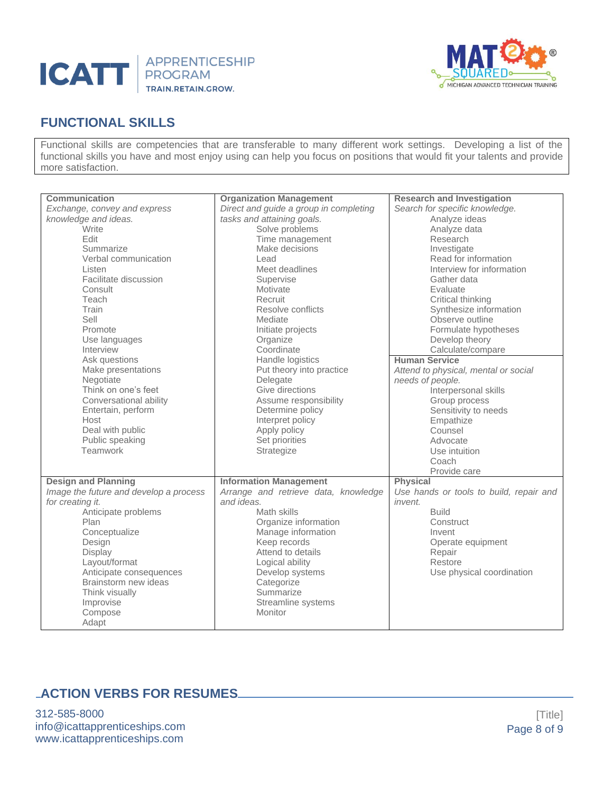



# **FUNCTIONAL SKILLS**

Functional skills are competencies that are transferable to many different work settings. Developing a list of the functional skills you have and most enjoy using can help you focus on positions that would fit your talents and provide more satisfaction.

| Communication<br>Exchange, convey and express<br>knowledge and ideas.<br>Write<br>Edit<br>Summarize<br>Verbal communication<br>Listen<br>Facilitate discussion<br>Consult<br>Teach<br>Train<br>Sell<br>Promote<br>Use languages<br>Interview<br>Ask questions<br>Make presentations<br>Negotiate<br>Think on one's feet<br>Conversational ability<br>Entertain, perform<br>Host<br>Deal with public<br>Public speaking<br>Teamwork | <b>Organization Management</b><br>Direct and guide a group in completing<br>tasks and attaining goals.<br>Solve problems<br>Time management<br>Make decisions<br>Lead<br>Meet deadlines<br>Supervise<br>Motivate<br>Recruit<br>Resolve conflicts<br>Mediate<br>Initiate projects<br>Organize<br>Coordinate<br>Handle logistics<br>Put theory into practice<br>Delegate<br>Give directions<br>Assume responsibility<br>Determine policy<br>Interpret policy<br>Apply policy<br>Set priorities<br>Strategize | <b>Research and Investigation</b><br>Search for specific knowledge.<br>Analyze ideas<br>Analyze data<br>Research<br>Investigate<br>Read for information<br>Interview for information<br>Gather data<br>Evaluate<br>Critical thinking<br>Synthesize information<br>Observe outline<br>Formulate hypotheses<br>Develop theory<br>Calculate/compare<br><b>Human Service</b><br>Attend to physical, mental or social<br>needs of people.<br>Interpersonal skills<br>Group process<br>Sensitivity to needs<br>Empathize<br>Counsel<br>Advocate<br>Use intuition<br>Coach |
|------------------------------------------------------------------------------------------------------------------------------------------------------------------------------------------------------------------------------------------------------------------------------------------------------------------------------------------------------------------------------------------------------------------------------------|------------------------------------------------------------------------------------------------------------------------------------------------------------------------------------------------------------------------------------------------------------------------------------------------------------------------------------------------------------------------------------------------------------------------------------------------------------------------------------------------------------|---------------------------------------------------------------------------------------------------------------------------------------------------------------------------------------------------------------------------------------------------------------------------------------------------------------------------------------------------------------------------------------------------------------------------------------------------------------------------------------------------------------------------------------------------------------------|
| <b>Design and Planning</b>                                                                                                                                                                                                                                                                                                                                                                                                         | <b>Information Management</b>                                                                                                                                                                                                                                                                                                                                                                                                                                                                              | Provide care<br><b>Physical</b>                                                                                                                                                                                                                                                                                                                                                                                                                                                                                                                                     |
| Image the future and develop a process<br>for creating it.<br>Anticipate problems<br>Plan<br>Conceptualize<br>Design<br>Display<br>Layout/format<br>Anticipate consequences<br>Brainstorm new ideas<br>Think visually<br>Improvise<br>Compose<br>Adapt                                                                                                                                                                             | Arrange and retrieve data, knowledge<br>and ideas.<br>Math skills<br>Organize information<br>Manage information<br>Keep records<br>Attend to details<br>Logical ability<br>Develop systems<br>Categorize<br>Summarize<br>Streamline systems<br>Monitor                                                                                                                                                                                                                                                     | Use hands or tools to build, repair and<br><i>invent.</i><br><b>Build</b><br>Construct<br>Invent<br>Operate equipment<br>Repair<br>Restore<br>Use physical coordination                                                                                                                                                                                                                                                                                                                                                                                             |

## **ACTION VERBS FOR RESUMES**

312-585-8000 info@icattapprenticeships.com www.icattapprenticeships.com